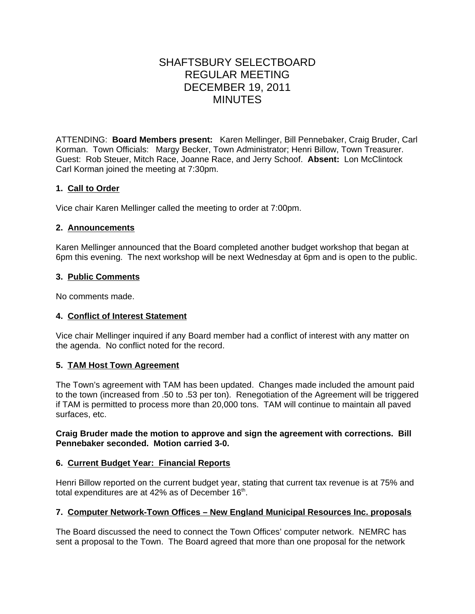# SHAFTSBURY SELECTBOARD REGULAR MEETING DECEMBER 19, 2011 MINUTES

ATTENDING: **Board Members present:** Karen Mellinger, Bill Pennebaker, Craig Bruder, Carl Korman. Town Officials: Margy Becker, Town Administrator; Henri Billow, Town Treasurer. Guest: Rob Steuer, Mitch Race, Joanne Race, and Jerry Schoof. **Absent:** Lon McClintock Carl Korman joined the meeting at 7:30pm.

# **1. Call to Order**

Vice chair Karen Mellinger called the meeting to order at 7:00pm.

# **2. Announcements**

Karen Mellinger announced that the Board completed another budget workshop that began at 6pm this evening. The next workshop will be next Wednesday at 6pm and is open to the public.

# **3. Public Comments**

No comments made.

#### **4. Conflict of Interest Statement**

Vice chair Mellinger inquired if any Board member had a conflict of interest with any matter on the agenda. No conflict noted for the record.

# **5. TAM Host Town Agreement**

The Town's agreement with TAM has been updated. Changes made included the amount paid to the town (increased from .50 to .53 per ton). Renegotiation of the Agreement will be triggered if TAM is permitted to process more than 20,000 tons. TAM will continue to maintain all paved surfaces, etc.

## **Craig Bruder made the motion to approve and sign the agreement with corrections. Bill Pennebaker seconded. Motion carried 3-0.**

# **6. Current Budget Year: Financial Reports**

Henri Billow reported on the current budget year, stating that current tax revenue is at 75% and total expenditures are at  $42\%$  as of December  $16<sup>th</sup>$ .

#### **7. Computer Network-Town Offices – New England Municipal Resources Inc. proposals**

The Board discussed the need to connect the Town Offices' computer network. NEMRC has sent a proposal to the Town. The Board agreed that more than one proposal for the network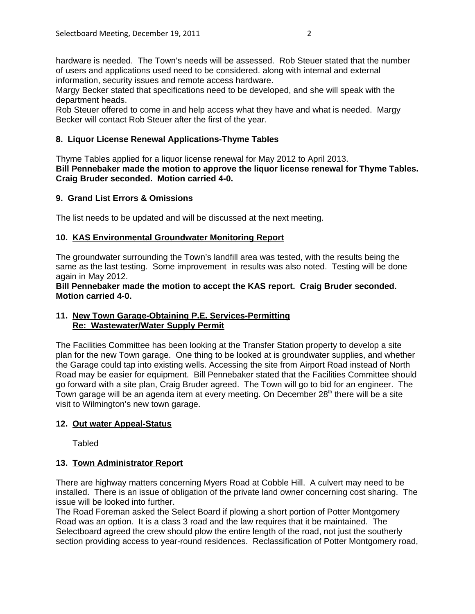hardware is needed. The Town's needs will be assessed. Rob Steuer stated that the number of users and applications used need to be considered. along with internal and external information, security issues and remote access hardware.

Margy Becker stated that specifications need to be developed, and she will speak with the department heads.

Rob Steuer offered to come in and help access what they have and what is needed. Margy Becker will contact Rob Steuer after the first of the year.

## **8. Liquor License Renewal Applications-Thyme Tables**

Thyme Tables applied for a liquor license renewal for May 2012 to April 2013. **Bill Pennebaker made the motion to approve the liquor license renewal for Thyme Tables. Craig Bruder seconded. Motion carried 4-0.**

#### **9. Grand List Errors & Omissions**

The list needs to be updated and will be discussed at the next meeting.

## **10. KAS Environmental Groundwater Monitoring Report**

The groundwater surrounding the Town's landfill area was tested, with the results being the same as the last testing. Some improvement in results was also noted. Testing will be done again in May 2012.

### **Bill Pennebaker made the motion to accept the KAS report. Craig Bruder seconded. Motion carried 4-0.**

# **11. New Town Garage-Obtaining P.E. Services-Permitting Re: Wastewater/Water Supply Permit**

The Facilities Committee has been looking at the Transfer Station property to develop a site plan for the new Town garage. One thing to be looked at is groundwater supplies, and whether the Garage could tap into existing wells. Accessing the site from Airport Road instead of North Road may be easier for equipment. Bill Pennebaker stated that the Facilities Committee should go forward with a site plan, Craig Bruder agreed. The Town will go to bid for an engineer. The Town garage will be an agenda item at every meeting. On December 28<sup>th</sup> there will be a site visit to Wilmington's new town garage.

# **12. Out water Appeal-Status**

Tabled

#### **13. Town Administrator Report**

There are highway matters concerning Myers Road at Cobble Hill. A culvert may need to be installed. There is an issue of obligation of the private land owner concerning cost sharing. The issue will be looked into further.

The Road Foreman asked the Select Board if plowing a short portion of Potter Montgomery Road was an option. It is a class 3 road and the law requires that it be maintained. The Selectboard agreed the crew should plow the entire length of the road, not just the southerly section providing access to year-round residences. Reclassification of Potter Montgomery road,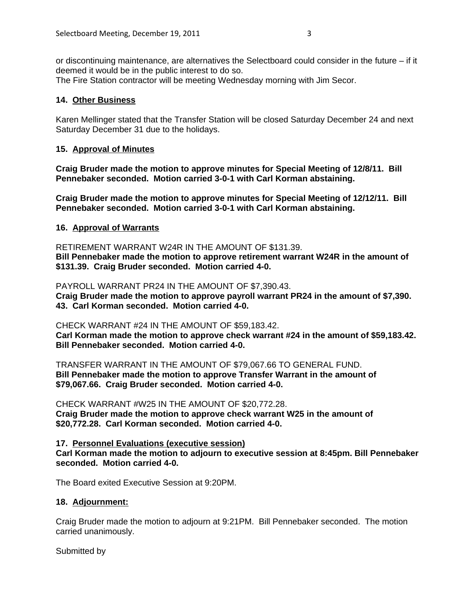or discontinuing maintenance, are alternatives the Selectboard could consider in the future – if it deemed it would be in the public interest to do so.

The Fire Station contractor will be meeting Wednesday morning with Jim Secor.

# **14. Other Business**

Karen Mellinger stated that the Transfer Station will be closed Saturday December 24 and next Saturday December 31 due to the holidays.

## **15. Approval of Minutes**

**Craig Bruder made the motion to approve minutes for Special Meeting of 12/8/11. Bill Pennebaker seconded. Motion carried 3-0-1 with Carl Korman abstaining.**

**Craig Bruder made the motion to approve minutes for Special Meeting of 12/12/11. Bill Pennebaker seconded. Motion carried 3-0-1 with Carl Korman abstaining.**

## **16. Approval of Warrants**

RETIREMENT WARRANT W24R IN THE AMOUNT OF \$131.39.

**Bill Pennebaker made the motion to approve retirement warrant W24R in the amount of \$131.39. Craig Bruder seconded. Motion carried 4-0.**

PAYROLL WARRANT PR24 IN THE AMOUNT OF \$7,390.43. **Craig Bruder made the motion to approve payroll warrant PR24 in the amount of \$7,390. 43. Carl Korman seconded. Motion carried 4-0.**

CHECK WARRANT #24 IN THE AMOUNT OF \$59,183.42.

**Carl Korman made the motion to approve check warrant #24 in the amount of \$59,183.42. Bill Pennebaker seconded. Motion carried 4-0.**

TRANSFER WARRANT IN THE AMOUNT OF \$79,067.66 TO GENERAL FUND. **Bill Pennebaker made the motion to approve Transfer Warrant in the amount of \$79,067.66. Craig Bruder seconded. Motion carried 4-0.**

CHECK WARRANT #W25 IN THE AMOUNT OF \$20,772.28. **Craig Bruder made the motion to approve check warrant W25 in the amount of \$20,772.28. Carl Korman seconded. Motion carried 4-0.**

**17. Personnel Evaluations (executive session) Carl Korman made the motion to adjourn to executive session at 8:45pm. Bill Pennebaker seconded. Motion carried 4-0.**

The Board exited Executive Session at 9:20PM.

# **18. Adjournment:**

Craig Bruder made the motion to adjourn at 9:21PM. Bill Pennebaker seconded. The motion carried unanimously.

Submitted by